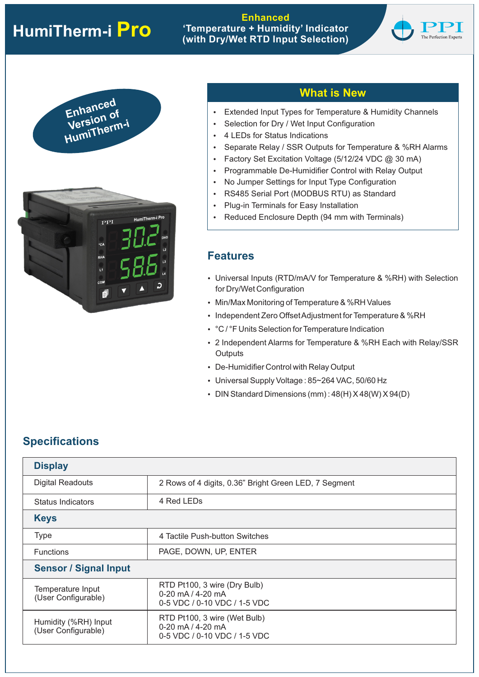# **HumiTherm-i Pro**

## **Enhanced 'Temperature + Humidity' Indicator (with Dry/Wet RTD Input Selection)**





## **What is New**

- Extended Input Types for Temperature & Humidity Channels
- Selection for Dry / Wet Input Configuration
- 4 LEDs for Status Indications
- Separate Relay / SSR Outputs for Temperature & %RH Alarms
- Factory Set Excitation Voltage ( $5/12/24$  VDC  $@30$  mA)
- Programmable De-Humidifier Control with Relay Output
- No Jumper Settings for Input Type Configuration
- RS485 Serial Port (MODBUS RTU) as Standard
- Plug-in Terminals for Easy Installation
- Reduced Enclosure Depth (94 mm with Terminals)

## **Features**

- Universal Inputs (RTD/mA/V for Temperature & %RH) with Selection for Dry/Wet Configuration
- Min/Max Monitoring of Temperature & %RH Values
- Independent Zero Offset Adjustment for Temperature & %RH
- °C / °F Units Selection for Temperature Indication
- 2 Independent Alarms for Temperature & %RH Each with Relay/SSR **Outputs**
- De-Humidifier Control with Relay Output
- Universal Supply Voltage : 85~264 VAC, 50/60 Hz
- DIN Standard Dimensions (mm):  $48(H) X 48(W) X 94(D)$

## **Specifications**

| <b>Display</b>                                |                                                                                      |  |  |  |  |  |  |
|-----------------------------------------------|--------------------------------------------------------------------------------------|--|--|--|--|--|--|
| <b>Digital Readouts</b>                       | 2 Rows of 4 digits, 0.36" Bright Green LED, 7 Segment                                |  |  |  |  |  |  |
| Status Indicators                             | 4 Red LEDs                                                                           |  |  |  |  |  |  |
| <b>Keys</b>                                   |                                                                                      |  |  |  |  |  |  |
| <b>Type</b><br>4 Tactile Push-button Switches |                                                                                      |  |  |  |  |  |  |
| <b>Functions</b>                              | PAGE, DOWN, UP, ENTER                                                                |  |  |  |  |  |  |
| <b>Sensor / Signal Input</b>                  |                                                                                      |  |  |  |  |  |  |
| Temperature Input<br>(User Configurable)      | RTD Pt100, 3 wire (Dry Bulb)<br>$0-20$ mA $/4-20$ mA<br>0-5 VDC / 0-10 VDC / 1-5 VDC |  |  |  |  |  |  |
| Humidity (%RH) Input<br>(User Configurable)   | RTD Pt100, 3 wire (Wet Bulb)<br>0-20 $mA/4-20 mA$<br>0-5 VDC / 0-10 VDC / 1-5 VDC    |  |  |  |  |  |  |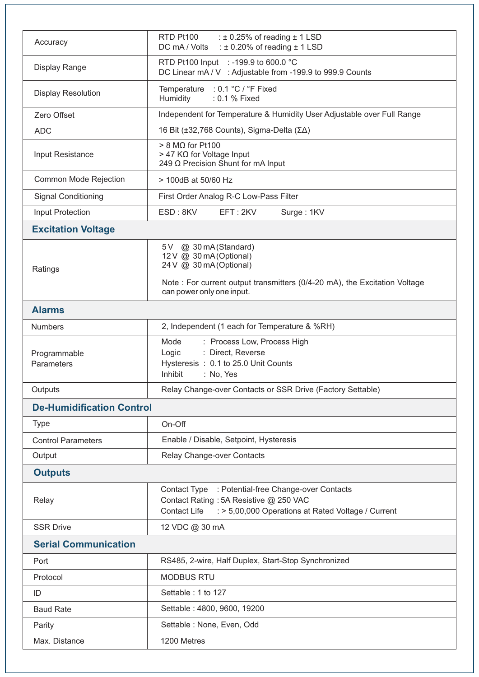| Accuracy                         | : $\pm$ 0.25% of reading $\pm$ 1 LSD<br>RTD Pt100<br>: $\pm$ 0.20% of reading $\pm$ 1 LSD<br>DC mA / Volts                                                                             |  |  |  |  |  |  |  |
|----------------------------------|----------------------------------------------------------------------------------------------------------------------------------------------------------------------------------------|--|--|--|--|--|--|--|
| <b>Display Range</b>             | RTD Pt100 Input : -199.9 to 600.0 °C<br>DC Linear mA / V : Adjustable from -199.9 to 999.9 Counts                                                                                      |  |  |  |  |  |  |  |
| <b>Display Resolution</b>        | Temperature : 0.1 °C / °F Fixed<br>Humidity<br>: 0.1 % Fixed                                                                                                                           |  |  |  |  |  |  |  |
| Zero Offset                      | Independent for Temperature & Humidity User Adjustable over Full Range                                                                                                                 |  |  |  |  |  |  |  |
| <b>ADC</b>                       | 16 Bit (±32,768 Counts), Sigma-Delta (ΣΔ)                                                                                                                                              |  |  |  |  |  |  |  |
| Input Resistance                 | $> 8$ M $\Omega$ for Pt100<br>> 47 KΩ for Voltage Input<br>249 Ω Precision Shunt for mA Input                                                                                          |  |  |  |  |  |  |  |
| Common Mode Rejection            | > 100dB at 50/60 Hz                                                                                                                                                                    |  |  |  |  |  |  |  |
| <b>Signal Conditioning</b>       | First Order Analog R-C Low-Pass Filter                                                                                                                                                 |  |  |  |  |  |  |  |
| Input Protection                 | ESD: 8KV<br>EFT: 2KV<br>Surge: 1KV                                                                                                                                                     |  |  |  |  |  |  |  |
| <b>Excitation Voltage</b>        |                                                                                                                                                                                        |  |  |  |  |  |  |  |
| Ratings                          | 5V @ 30 mA (Standard)<br>12 V @ 30 mA (Optional)<br>24 V @ 30 mA (Optional)<br>Note : For current output transmitters (0/4-20 mA), the Excitation Voltage<br>can power only one input. |  |  |  |  |  |  |  |
| <b>Alarms</b>                    |                                                                                                                                                                                        |  |  |  |  |  |  |  |
| <b>Numbers</b>                   | 2, Independent (1 each for Temperature & %RH)                                                                                                                                          |  |  |  |  |  |  |  |
| Programmable<br>Parameters       | : Process Low, Process High<br>Mode<br>: Direct, Reverse<br>Logic<br>Hysteresis: 0.1 to 25.0 Unit Counts<br>Inhibit<br>: No, Yes                                                       |  |  |  |  |  |  |  |
| Outputs                          | Relay Change-over Contacts or SSR Drive (Factory Settable)                                                                                                                             |  |  |  |  |  |  |  |
| <b>De-Humidification Control</b> |                                                                                                                                                                                        |  |  |  |  |  |  |  |
| <b>Type</b>                      | On-Off                                                                                                                                                                                 |  |  |  |  |  |  |  |
| <b>Control Parameters</b>        | Enable / Disable, Setpoint, Hysteresis                                                                                                                                                 |  |  |  |  |  |  |  |
| Output                           | Relay Change-over Contacts                                                                                                                                                             |  |  |  |  |  |  |  |
| <b>Outputs</b>                   |                                                                                                                                                                                        |  |  |  |  |  |  |  |
| Relay                            | Contact Type<br>: Potential-free Change-over Contacts<br>Contact Rating: 5A Resistive @ 250 VAC<br>: > 5,00,000 Operations at Rated Voltage / Current<br><b>Contact Life</b>           |  |  |  |  |  |  |  |
| <b>SSR Drive</b>                 | 12 VDC @ 30 mA                                                                                                                                                                         |  |  |  |  |  |  |  |
| <b>Serial Communication</b>      |                                                                                                                                                                                        |  |  |  |  |  |  |  |
| Port                             | RS485, 2-wire, Half Duplex, Start-Stop Synchronized                                                                                                                                    |  |  |  |  |  |  |  |
| Protocol                         | <b>MODBUS RTU</b>                                                                                                                                                                      |  |  |  |  |  |  |  |
| ID                               | Settable: 1 to 127                                                                                                                                                                     |  |  |  |  |  |  |  |
| <b>Baud Rate</b>                 | Settable: 4800, 9600, 19200                                                                                                                                                            |  |  |  |  |  |  |  |
| Parity                           | Settable : None, Even, Odd                                                                                                                                                             |  |  |  |  |  |  |  |
| Max. Distance                    | 1200 Metres                                                                                                                                                                            |  |  |  |  |  |  |  |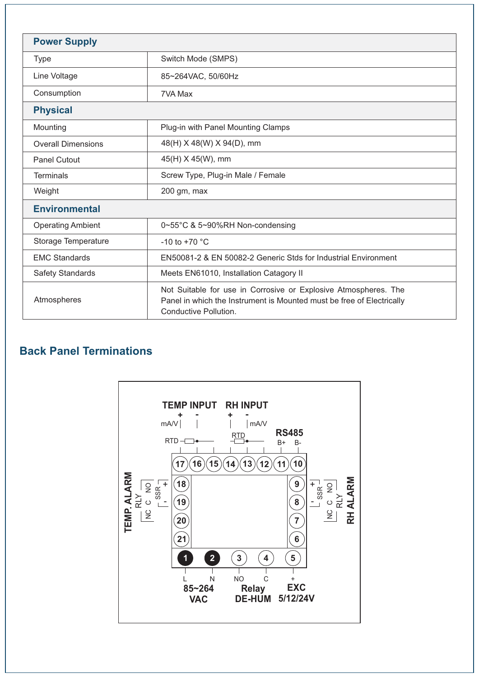| <b>Power Supply</b>                                                                                                                                                              |                                         |  |  |  |  |  |
|----------------------------------------------------------------------------------------------------------------------------------------------------------------------------------|-----------------------------------------|--|--|--|--|--|
| <b>Type</b>                                                                                                                                                                      | Switch Mode (SMPS)                      |  |  |  |  |  |
| Line Voltage                                                                                                                                                                     | 85~264VAC, 50/60Hz                      |  |  |  |  |  |
| Consumption                                                                                                                                                                      | 7VA Max                                 |  |  |  |  |  |
| <b>Physical</b>                                                                                                                                                                  |                                         |  |  |  |  |  |
| Mounting<br>Plug-in with Panel Mounting Clamps                                                                                                                                   |                                         |  |  |  |  |  |
| <b>Overall Dimensions</b>                                                                                                                                                        | 48(H) X 48(W) X 94(D), mm               |  |  |  |  |  |
| Panel Cutout                                                                                                                                                                     | 45(H) X 45(W), mm                       |  |  |  |  |  |
| <b>Terminals</b>                                                                                                                                                                 | Screw Type, Plug-in Male / Female       |  |  |  |  |  |
| Weight<br>200 gm, max                                                                                                                                                            |                                         |  |  |  |  |  |
| <b>Environmental</b>                                                                                                                                                             |                                         |  |  |  |  |  |
| <b>Operating Ambient</b>                                                                                                                                                         | 0~55°C & 5~90%RH Non-condensing         |  |  |  |  |  |
| Storage Temperature                                                                                                                                                              | $-10$ to $+70$ °C                       |  |  |  |  |  |
| <b>EMC Standards</b><br>EN50081-2 & EN 50082-2 Generic Stds for Industrial Environment                                                                                           |                                         |  |  |  |  |  |
| <b>Safety Standards</b>                                                                                                                                                          | Meets EN61010, Installation Catagory II |  |  |  |  |  |
| Not Suitable for use in Corrosive or Explosive Atmospheres. The<br>Atmospheres<br>Panel in which the Instrument is Mounted must be free of Electrically<br>Conductive Pollution. |                                         |  |  |  |  |  |

# **Back Panel Terminations**